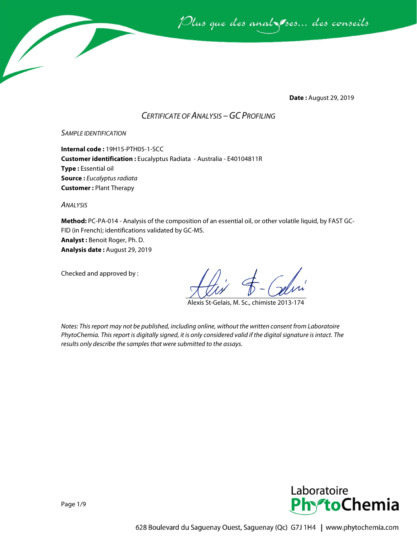Plus que des analzessus des conseils

**Date :** August 29, 2019

### *CERTIFICATE OF ANALYSIS –GC PROFILING*

#### *SAMPLE IDENTIFICATION*

**Internal code :** 19H15-PTH05-1-SCC **Customer identification :** Eucalyptus Radiata - Australia - E40104811R **Type :** Essential oil **Source :** *Eucalyptus radiata* **Customer :** Plant Therapy

*ANALYSIS*

**Method:** PC-PA-014 - Analysis of the composition of an essential oil, or other volatile liquid, by FAST GC-FID (in French); identifications validated by GC-MS.

**Analyst :** Benoit Roger, Ph. D.

**Analysis date :** August 29, 2019

Checked and approved by :

Alexis St-Gelais, M. Sc., chimiste 2013-174

*Notes: This report may not be published, including online, without the written consent from Laboratoire PhytoChemia. This report is digitally signed, it is only considered valid if the digital signature is intact. The results only describe the samples that were submitted to the assays.*

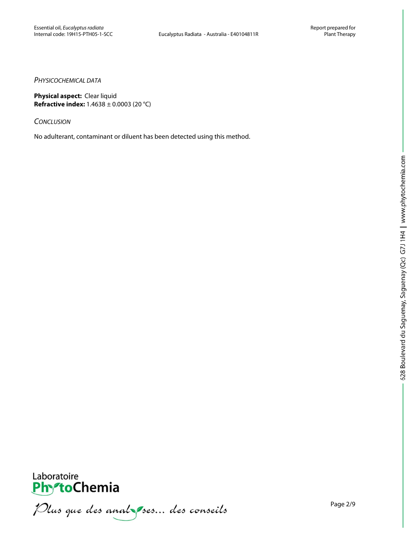#### *PHYSICOCHEMICAL DATA*

**Physical aspect:** Clear liquid **Refractive index:** 1.4638 ± 0.0003 (20 °C)

*CONCLUSION*

No adulterant, contaminant or diluent has been detected using this method.



PhytoChemia<br>PhytoChemia<br>*Plus que des analyses... des conseils*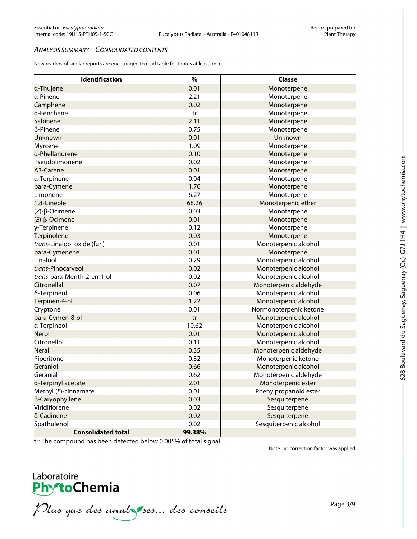#### *ANALYSIS SUMMARY – CONSOLIDATED CONTENTS*

New readers of similar reports are encouraged to read table footnotes at least once.

| <b>Identification</b>       | $\%$   | Classe                 |
|-----------------------------|--------|------------------------|
| a-Thujene                   | 0.01   | Monoterpene            |
| a-Pinene                    | 2.21   | Monoterpene            |
| Camphene                    | 0.02   | Monoterpene            |
| a-Fenchene                  | tr     | Monoterpene            |
| Sabinene                    | 2.11   | Monoterpene            |
| β-Pinene                    | 0.75   | Monoterpene            |
| Unknown                     | 0.01   | Unknown                |
| Myrcene                     | 1.09   | Monoterpene            |
| a-Phellandrene              | 0.10   | Monoterpene            |
| Pseudolimonene              | 0.02   | Monoterpene            |
| ∆3-Carene                   | 0.01   | Monoterpene            |
| a-Terpinene                 | 0.04   | Monoterpene            |
| para-Cymene                 | 1.76   | Monoterpene            |
| Limonene                    | 6.27   | Monoterpene            |
| 1,8-Cineole                 | 68.26  | Monoterpenic ether     |
| $(Z)$ -β-Ocimene            | 0.03   | Monoterpene            |
| $(E)$ - $\beta$ -Ocimene    | 0.01   | Monoterpene            |
| γ-Terpinene                 | 0.12   | Monoterpene            |
| Terpinolene                 | 0.03   | Monoterpene            |
| trans-Linalool oxide (fur.) | 0.01   | Monoterpenic alcohol   |
| para-Cymenene               | 0.01   | Monoterpene            |
| Linalool                    | 0.29   | Monoterpenic alcohol   |
| trans-Pinocarveol           | 0.02   | Monoterpenic alcohol   |
| trans-para-Menth-2-en-1-ol  | 0.02   | Monoterpenic alcohol   |
| Citronellal                 | 0.07   | Monoterpenic aldehyde  |
| δ-Terpineol                 | 0.06   | Monoterpenic alcohol   |
| Terpinen-4-ol               | 1.22   | Monoterpenic alcohol   |
| Cryptone                    | 0.01   | Normonoterpenic ketone |
| para-Cymen-8-ol             | tr     | Monoterpenic alcohol   |
| a-Terpineol                 | 10.62  | Monoterpenic alcohol   |
| Nerol                       | 0.01   | Monoterpenic alcohol   |
| Citronellol                 | 0.11   | Monoterpenic alcohol   |
| <b>Neral</b>                | 0.35   | Monoterpenic aldehyde  |
| Piperitone                  | 0.32   | Monoterpenic ketone    |
| Geraniol                    | 0.66   | Monoterpenic alcohol   |
| Geranial                    | 0.62   | Monoterpenic aldehyde  |
| a-Terpinyl acetate          | 2.01   | Monoterpenic ester     |
| Methyl (E)-cinnamate        | 0.01   | Phenylpropanoid ester  |
| β-Caryophyllene             | 0.03   | Sesquiterpene          |
| Viridiflorene               | 0.02   | Sesquiterpene          |
| δ-Cadinene                  | 0.02   | Sesquiterpene          |
| Spathulenol                 | 0.02   | Sesquiterpenic alcohol |
| <b>Consolidated total</b>   | 99.38% |                        |

tr: The compound has been detected below 0.005% of total signal.

Note: no correction factor was applied



PhytoChemia<br>PhytoChemia<br>*Plus que des analyses... des conseils*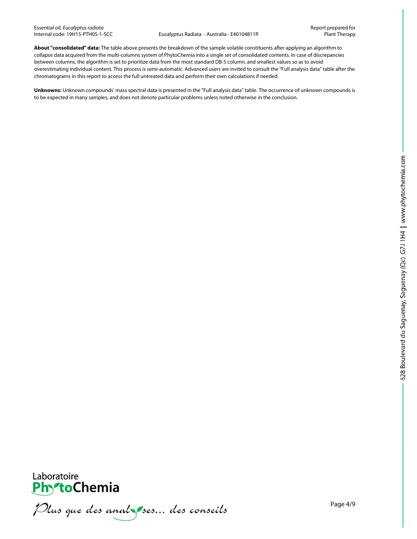**About "consolidated" data:** The table above presents the breakdown of the sample volatile constituents after applying an algorithm to collapse data acquired from the multi-columns system of PhytoChemia into a single set of consolidated contents. In case of discrepancies between columns, the algorithm is set to prioritize data from the most standard DB-5 column, and smallest values so as to avoid overestimating individual content. This process is semi-automatic. Advanced users are invited to consult the "Full analysis data" table after the chromatograms in this report to access the full untreated data and perform their own calculations if needed.

**Unknowns:** Unknown compounds' mass spectral data is presented in the "Full analysis data" table. The occurrence of unknown compounds is to be expected in many samples, and does not denote particular problems unless noted otherwise in the conclusion.



Plus que des analzes... des conseils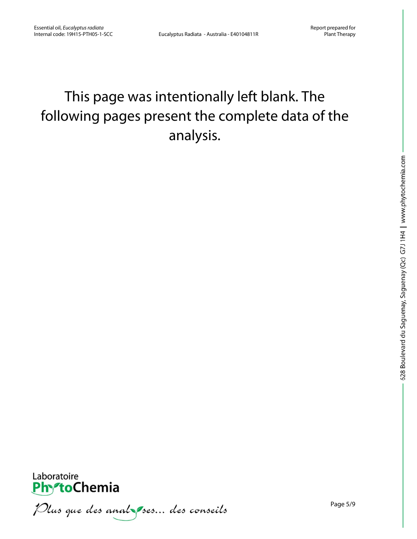## This page was intentionally left blank. The following pages present the complete data of the analysis.



Plus que des analzes... des conseils

Page 5/9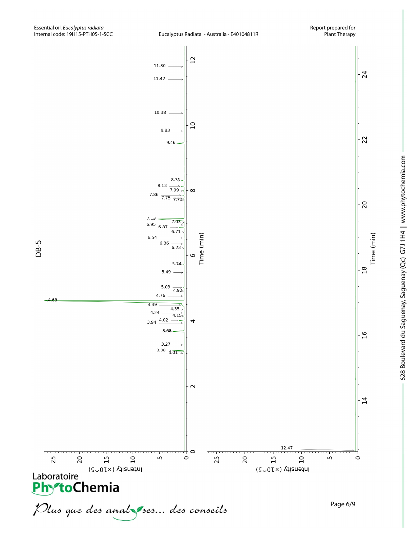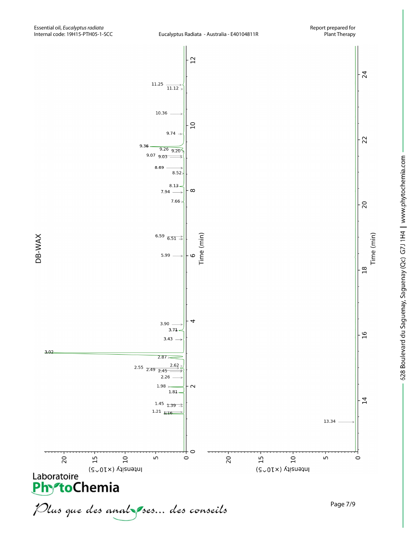

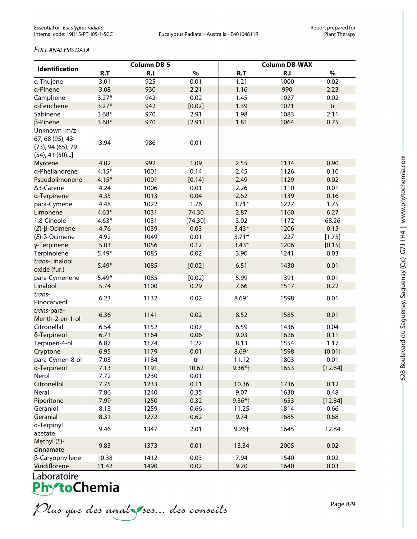#### *FULL ANALYSIS DATA*

| Identification                                                                     | <b>Column DB-5</b> |      |         | <b>Column DB-WAX</b> |      |         |
|------------------------------------------------------------------------------------|--------------------|------|---------|----------------------|------|---------|
|                                                                                    | R.T                | R.I  | $\%$    | R.T                  | R.I  | $\%$    |
| a-Thujene                                                                          | 3.01               | 925  | 0.01    | 1.21                 | 1000 | 0.02    |
| a-Pinene                                                                           | 3.08               | 930  | 2.21    | 1.16                 | 990  | 2.23    |
| Camphene                                                                           | $3.27*$            | 942  | 0.02    | 1.45                 | 1027 | 0.02    |
| a-Fenchene                                                                         | $3.27*$            | 942  | [0.02]  | 1.39                 | 1021 | tr      |
| Sabinene                                                                           | $3.68*$            | 970  | 2.91    | 1.98                 | 1083 | 2.11    |
| β-Pinene                                                                           | $3.68*$            | 970  | [2.91]  | 1.81                 | 1064 | 0.75    |
| Unknown [m/z<br>67, 68 (95), 43<br>$(73)$ , 94 $(65)$ , 79<br>$(54)$ , 41 $(50)$ ] | 3.94               | 986  | 0.01    |                      |      |         |
| <b>Myrcene</b>                                                                     | 4.02               | 992  | 1.09    | 2.55                 | 1134 | 0.90    |
| a-Phellandrene                                                                     | $4.15*$            | 1001 | 0.14    | 2.45                 | 1126 | 0.10    |
| Pseudolimonene                                                                     | $4.15*$            | 1001 | [0.14]  | 2.49                 | 1129 | 0.02    |
| ∆3-Carene                                                                          | 4.24               | 1006 | 0.01    | 2.26                 | 1110 | 0.01    |
| a-Terpinene                                                                        | 4.35               | 1013 | 0.04    | 2.62                 | 1139 | 0.16    |
| para-Cymene                                                                        | 4.48               | 1022 | 1.76    | $3.71*$              | 1227 | 1.75    |
| Limonene                                                                           | $4.63*$            | 1031 | 74.30   | 2.87                 | 1160 | 6.27    |
| 1,8-Cineole                                                                        | $4.63*$            | 1031 | [74.30] | 3.02                 | 1172 | 68.26   |
| $(Z)-\beta$ -Ocimene                                                               | 4.76               | 1039 | 0.03    | $3.43*$              | 1206 | 0.15    |
| $(E)-\beta$ -Ocimene                                                               | 4.92               | 1049 | 0.01    | $3.71*$              | 1227 | [1.75]  |
| γ-Terpinene                                                                        | 5.03               | 1056 | 0.12    | $3.43*$              | 1206 | [0.15]  |
| Terpinolene                                                                        | $5.49*$            | 1085 | 0.02    | 3.90                 | 1241 | 0.03    |
| trans-Linalool<br>oxide (fur.)                                                     | $5.49*$            | 1085 | [0.02]  | 6.51                 | 1430 | 0.01    |
| para-Cymenene                                                                      | $5.49*$            | 1085 | [0.02]  | 5.99                 | 1391 | 0.01    |
| Linalool                                                                           | 5.74               | 1100 | 0.29    | 7.66                 | 1517 | 0.22    |
| trans-<br>Pinocarveol                                                              | 6.23               | 1132 | 0.02    | $8.69*$              | 1598 | 0.01    |
| trans-para-<br>Menth-2-en-1-ol                                                     | 6.36               | 1141 | 0.02    | 8.52                 | 1585 | 0.01    |
| Citronellal                                                                        | 6.54               | 1152 | 0.07    | 6.59                 | 1436 | 0.04    |
| δ-Terpineol                                                                        | 6.71               | 1164 | 0.06    | 9.03                 | 1626 | 0.11    |
| Terpinen-4-ol                                                                      | 6.87               | 1174 | 1.22    | 8.13                 | 1554 | 1.17    |
| Cryptone                                                                           | 6.95               | 1179 | 0.01    | $8.69*$              | 1598 | [0.01]  |
| para-Cymen-8-ol                                                                    | 7.03               | 1184 | tr      | 11.12                | 1803 | 0.01    |
| a-Terpineol                                                                        | 7.13               | 1191 | 10.62   | $9.36*$ †            | 1653 | [12.84] |
| Nerol                                                                              | 7.72               | 1230 | 0.01    |                      |      |         |
| Citronellol                                                                        | 7.75               | 1233 | 0.11    | 10.36                | 1736 | 0.12    |
| Neral                                                                              | 7.86               | 1240 | 0.35    | 9.07                 | 1630 | 0.48    |
| Piperitone                                                                         | 7.99               | 1250 | 0.32    | $9.36*$ †            | 1653 | [12.84] |
| Geraniol                                                                           | 8.13               | 1259 | 0.66    | 11.25                | 1814 | 0.66    |
| Geranial                                                                           | 8.31               | 1272 | 0.62    | 9.74                 | 1685 | 0.68    |
| a-Terpinyl<br>acetate                                                              | 9.46               | 1347 | 2.01    | 9.26+                | 1645 | 12.84   |
| Methyl $(E)$ -<br>cinnamate                                                        | 9.83               | 1373 | 0.01    | 13.34                | 2005 | 0.02    |
| β-Caryophyllene                                                                    | 10.38              | 1412 | 0.03    | 7.94                 | 1540 | 0.02    |
| Viridiflorene                                                                      | 11.42              | 1490 | 0.02    | 9.20                 | 1640 | 0.03    |

# Laboratoire<br>**Phy<sup>s</sup>toChemia**

Plus que des analzes... des conseils

Page 8/9